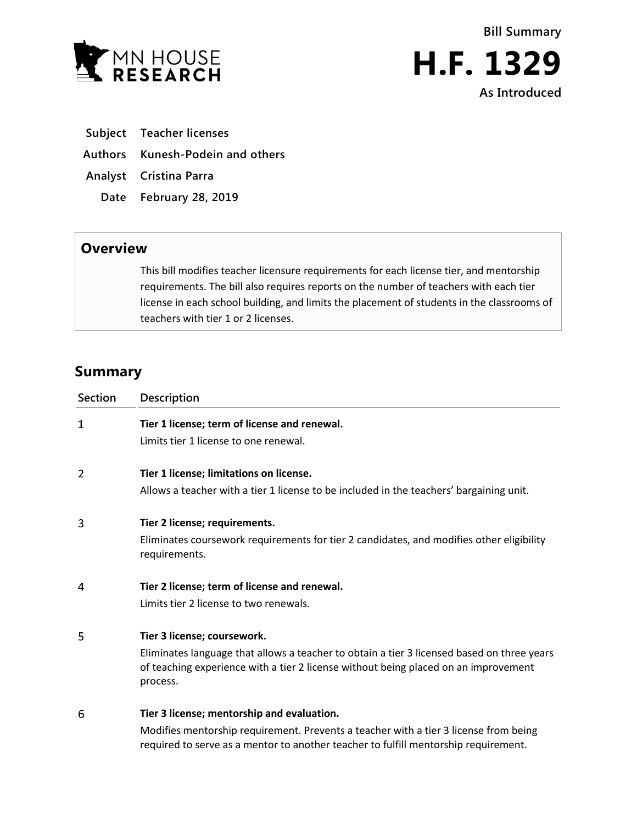





- **Subject Teacher licenses**
- **Authors Kunesh-Podein and others**
- **Analyst Cristina Parra**
	- **Date February 28, 2019**

## **Overview**

This bill modifies teacher licensure requirements for each license tier, and mentorship requirements. The bill also requires reports on the number of teachers with each tier license in each school building, and limits the placement of students in the classrooms of teachers with tier 1 or 2 licenses.

# **Summary**

| <b>Section</b> | <b>Description</b>                                                                                                                                                                                                           |
|----------------|------------------------------------------------------------------------------------------------------------------------------------------------------------------------------------------------------------------------------|
| 1              | Tier 1 license; term of license and renewal.<br>Limits tier 1 license to one renewal.                                                                                                                                        |
| 2              | Tier 1 license; limitations on license.<br>Allows a teacher with a tier 1 license to be included in the teachers' bargaining unit.                                                                                           |
| 3              | Tier 2 license; requirements.<br>Eliminates coursework requirements for tier 2 candidates, and modifies other eligibility<br>requirements.                                                                                   |
| 4              | Tier 2 license; term of license and renewal.<br>Limits tier 2 license to two renewals.                                                                                                                                       |
| 5              | Tier 3 license; coursework.<br>Eliminates language that allows a teacher to obtain a tier 3 licensed based on three years<br>of teaching experience with a tier 2 license without being placed on an improvement<br>process. |
| 6              | Tier 3 license; mentorship and evaluation.<br>Modifies mentorship requirement. Prevents a teacher with a tier 3 license from being<br>required to serve as a mentor to another teacher to fulfill mentorship requirement.    |